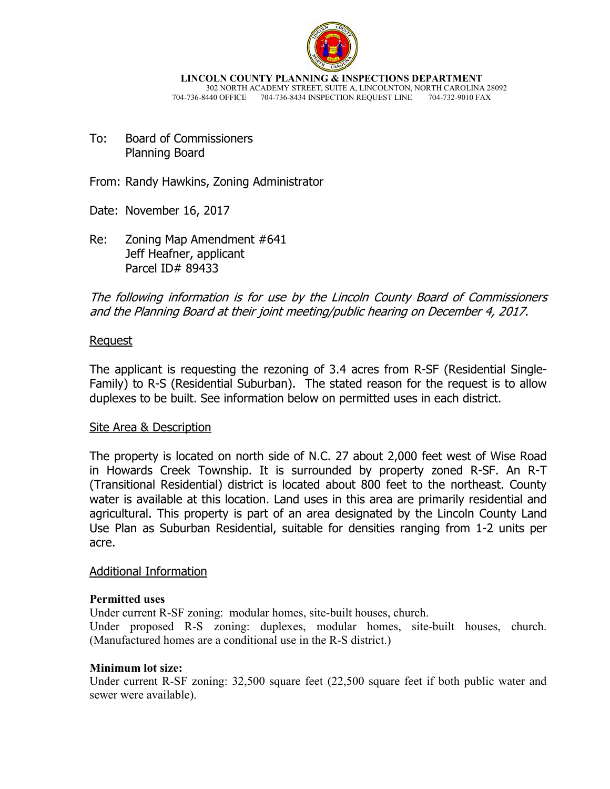

**LINCOLN COUNTY PLANNING & INSPECTIONS DEPARTMENT** 302 NORTH ACADEMY STREET, SUITE A, LINCOLNTON, NORTH CAROLINA 28092 704-736-8440 OFFICE 704-736-8434 INSPECTION REQUEST LINE 704-732-9010 FAX

To: Board of Commissioners Planning Board

From: Randy Hawkins, Zoning Administrator

Date: November 16, 2017

Re: Zoning Map Amendment #641 Jeff Heafner, applicant Parcel ID# 89433

The following information is for use by the Lincoln County Board of Commissioners and the Planning Board at their joint meeting/public hearing on December 4, 2017.

# Request

The applicant is requesting the rezoning of 3.4 acres from R-SF (Residential Single-Family) to R-S (Residential Suburban). The stated reason for the request is to allow duplexes to be built. See information below on permitted uses in each district.

# Site Area & Description

The property is located on north side of N.C. 27 about 2,000 feet west of Wise Road in Howards Creek Township. It is surrounded by property zoned R-SF. An R-T (Transitional Residential) district is located about 800 feet to the northeast. County water is available at this location. Land uses in this area are primarily residential and agricultural. This property is part of an area designated by the Lincoln County Land Use Plan as Suburban Residential, suitable for densities ranging from 1-2 units per acre.

# Additional Information

# **Permitted uses**

Under current R-SF zoning: modular homes, site-built houses, church.

Under proposed R-S zoning: duplexes, modular homes, site-built houses, church. (Manufactured homes are a conditional use in the R-S district.)

# **Minimum lot size:**

Under current R-SF zoning: 32,500 square feet (22,500 square feet if both public water and sewer were available).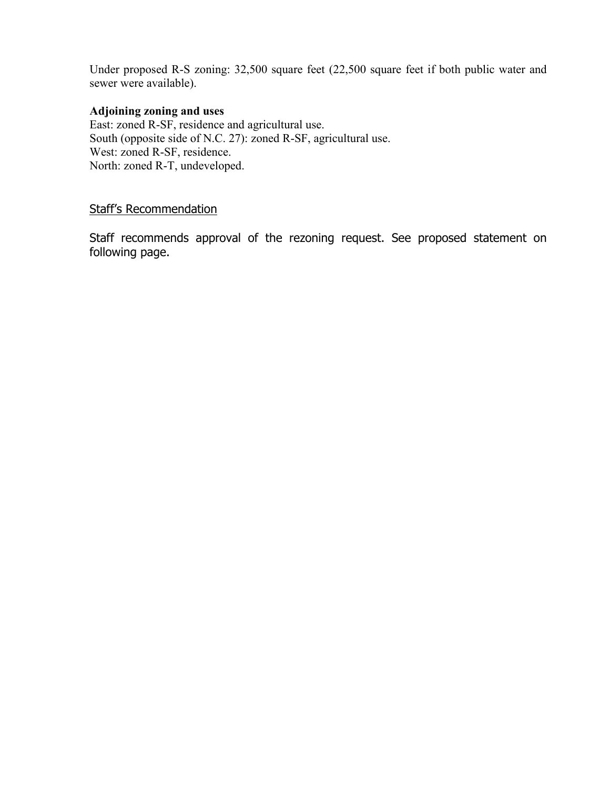Under proposed R-S zoning: 32,500 square feet (22,500 square feet if both public water and sewer were available).

#### **Adjoining zoning and uses**

East: zoned R-SF, residence and agricultural use. South (opposite side of N.C. 27): zoned R-SF, agricultural use. West: zoned R-SF, residence. North: zoned R-T, undeveloped.

# Staff's Recommendation

Staff recommends approval of the rezoning request. See proposed statement on following page.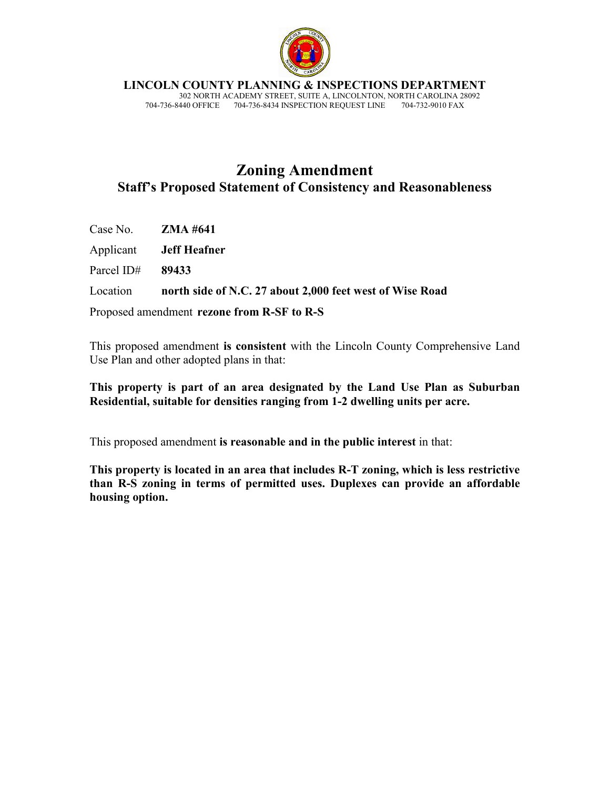

**LINCOLN COUNTY PLANNING & INSPECTIONS DEPARTMENT**

 302 NORTH ACADEMY STREET, SUITE A, LINCOLNTON, NORTH CAROLINA 28092 704-736-8440 OFFICE 704-736-8434 INSPECTION REQUEST LINE 704-732-9010 FAX

# **Zoning Amendment Staff's Proposed Statement of Consistency and Reasonableness**

Case No. **ZMA #641** 

Applicant **Jeff Heafner** 

Parcel ID# **89433** 

Location **north side of N.C. 27 about 2,000 feet west of Wise Road** 

Proposed amendment **rezone from R-SF to R-S**

This proposed amendment **is consistent** with the Lincoln County Comprehensive Land Use Plan and other adopted plans in that:

**This property is part of an area designated by the Land Use Plan as Suburban Residential, suitable for densities ranging from 1-2 dwelling units per acre.** 

This proposed amendment **is reasonable and in the public interest** in that:

**This property is located in an area that includes R-T zoning, which is less restrictive than R-S zoning in terms of permitted uses. Duplexes can provide an affordable housing option.**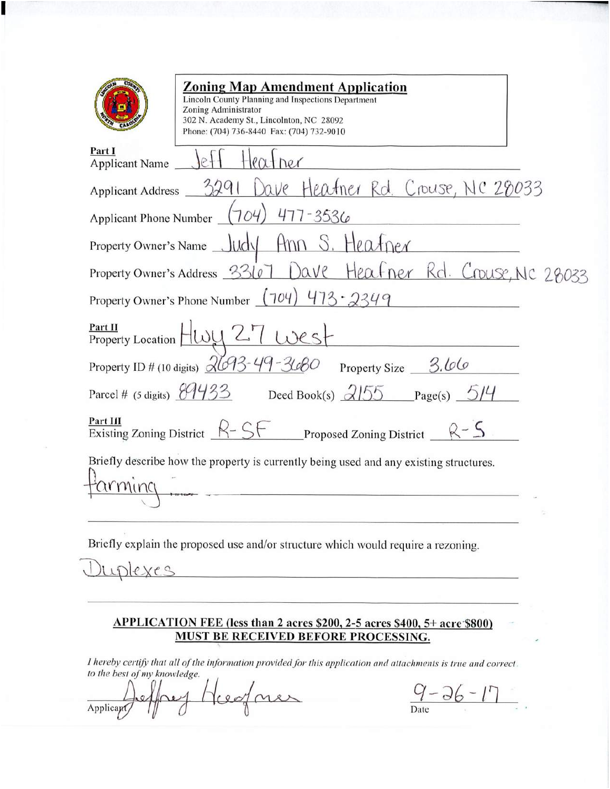| <b>Zoning Map Amendment Application</b><br>Lincoln County Planning and Inspections Department<br>Zoning Administrator<br>302 N. Academy St., Lincolnton, NC 28092<br>Phone: (704) 736-8440 Fax: (704) 732-9010 |
|----------------------------------------------------------------------------------------------------------------------------------------------------------------------------------------------------------------|
| Part I<br>Applicant Name                                                                                                                                                                                       |
| Applicant Address 3291 Dave Heatner Rd. Crouse, NC 28033                                                                                                                                                       |
| Applicant Phone Number (704) 477-3536                                                                                                                                                                          |
| Property Owner's Name Judy Ann S. Heafper                                                                                                                                                                      |
| Property Owner's Address 33107 Dave Heafner Rd. Crouse, NC 28033                                                                                                                                               |
| Property Owner's Phone Number $(704)$ $473 - 2349$                                                                                                                                                             |
| Part II<br>$P_{\text{Property Location}}$ $H_{\text{WY}}$ 27 $W_{\text{C}}$                                                                                                                                    |
| Property ID # (10 digits) $\frac{\sqrt{693 - 49 - 3680}}{200}$ Property Size 3.66                                                                                                                              |
| Parcel # (5 digits) $\frac{894933}{8}$ Deed Book(s) $2155$ Page(s) $514$                                                                                                                                       |
| Part III<br>Existing Zoning District $R-SF$<br>Proposed Zoning District $\frac{R-S}{S}$                                                                                                                        |
| Briefly describe how the property is currently being used and any existing structures.                                                                                                                         |

Briefly explain the proposed use and/or structure which would require a rezoning.

uplexes

#### APPLICATION FEE (less than 2 acres \$200, 2-5 acres \$400, 5+ acre \$800) **MUST BE RECEIVED BEFORE PROCESSING.**

I hereby certify that all of the information provided for this application and attachments is true and correct. to the best of my knowledge.

Hugner Applicant

 $\frac{9-36-17}{\text{Date}}$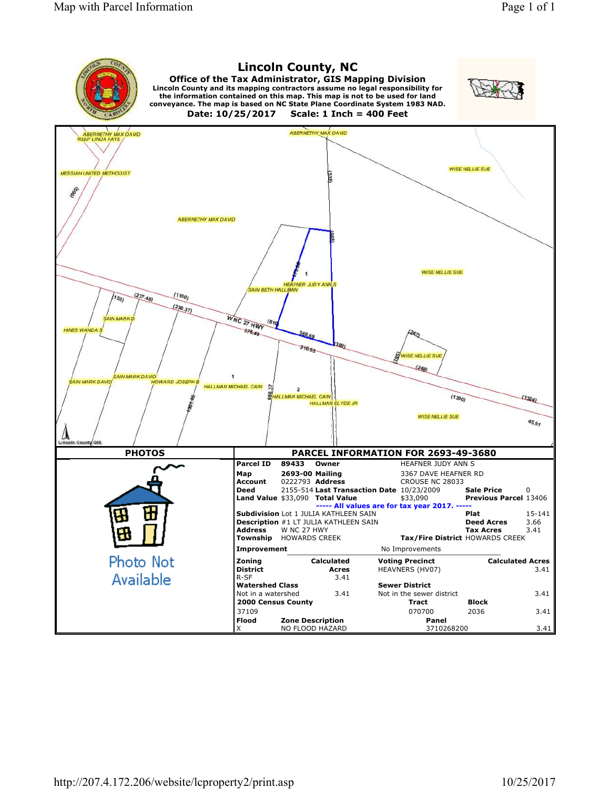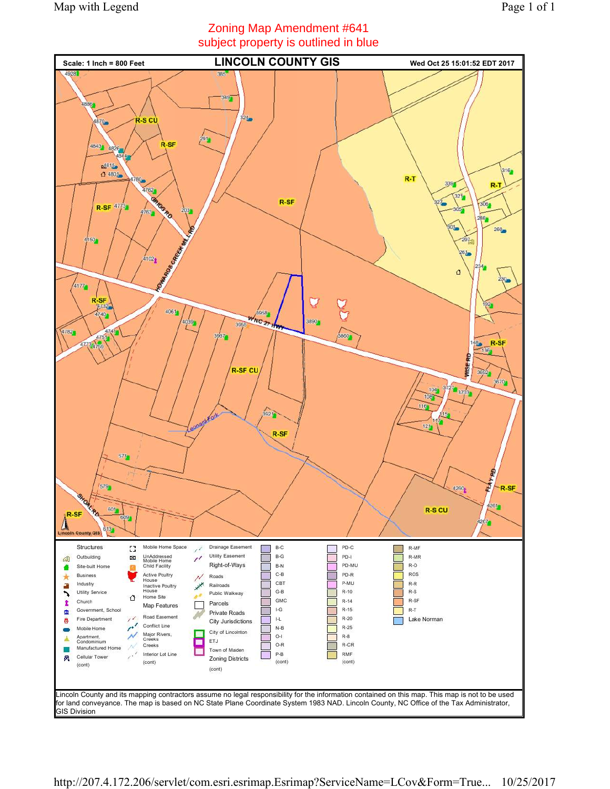# Zoning Map Amendment #641 subject property is outlined in blue